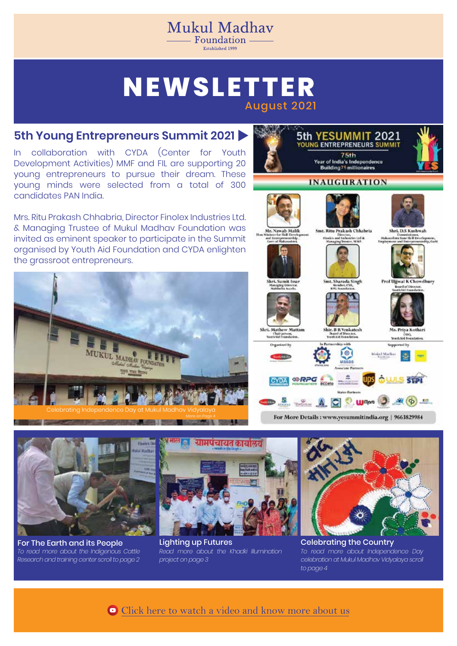## **NEWSLETTER** August 2021

Mukul Madhav  $=$  Foundation  $=$ Established 1999

### **5th Young Entrepreneurs Summit 2021**

collaboration with CYDA (Center for Youth Development Activities) MMF and FIL are supporting 20 young entrepreneurs to pursue their dream. These young minds were selected from a total of 300 candidates PAN India.

Mrs. Ritu Prakash Chhabria, Director Finolex Industries Ltd. & Managing Trustee of Mukul Madhav Foundation was invited as eminent speaker to participate in the Summit organised by Youth Aid Foundation and CYDA enlighten the grassroot entrepreneurs.



**ANALYSIS AND A DESCRIPTION AND A** 





For The Earth and its People *To read more about the Indigenous Cattle Research and training center scroll to page 2*



*Read more about the Khadki Illumination project on page 3* Lighting up Futures Celebrating the Country



*To read more about Independence Day celebration at Mukul Madhav Vidyalaya scroll to page 4*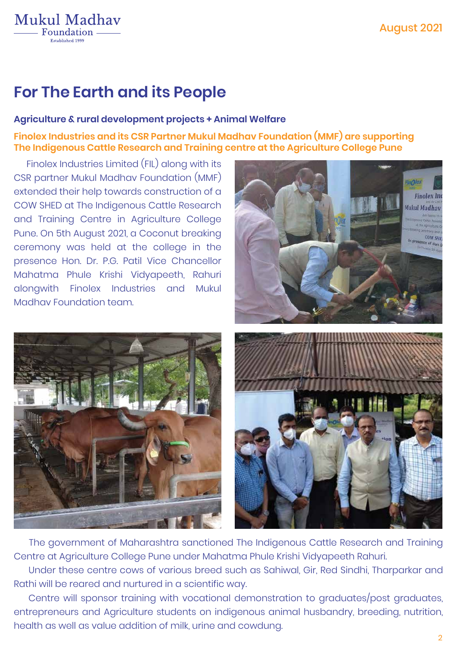## **For The Earth and its People**

**Mukul Madhav** Foundation -Fetablished 1996

### **Agriculture & rural development projects + Animal Welfare**

### **Finolex Industries and its CSR Partner Mukul Madhav Foundation (MMF) are supporting The Indigenous Cattle Research and Training centre at the Agriculture College Pune**

 Finolex Industries Limited (FIL) along with its CSR partner Mukul Madhav Foundation (MMF) extended their help towards construction of a COW SHED at The Indigenous Cattle Research and Training Centre in Agriculture College Pune. On 5th August 2021, a Coconut breaking ceremony was held at the college in the presence Hon. Dr. P.G. Patil Vice Chancellor Mahatma Phule Krishi Vidyapeeth, Rahuri alongwith Finolex Industries and Mukul Madhav Foundation team.







 The government of Maharashtra sanctioned The Indigenous Cattle Research and Training Centre at Agriculture College Pune under Mahatma Phule Krishi Vidyapeeth Rahuri.

 Under these centre cows of various breed such as Sahiwal, Gir, Red Sindhi, Tharparkar and Rathi will be reared and nurtured in a scientific way.

 Centre will sponsor training with vocational demonstration to graduates/post graduates, entrepreneurs and Agriculture students on indigenous animal husbandry, breeding, nutrition, health as well as value addition of milk, urine and cowdung.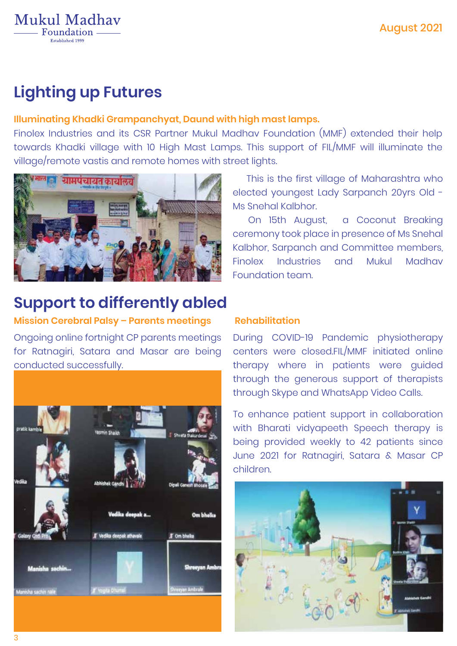# **Lighting up Futures**

**Mukul Madhav** Foundation.

### **Illuminating Khadki Grampanchyat, Daund with high mast lamps.**

Finolex Industries and its CSR Partner Mukul Madhav Foundation (MMF) extended their help towards Khadki village with 10 High Mast Lamps. This support of FIL/MMF will illuminate the village/remote vastis and remote homes with street lights.



## **Support to differently abled**

### **Mission Cerebral Palsy – Parents meetings**

Ongoing online fortnight CP parents meetings for Ratnagiri, Satara and Masar are being conducted successfully.



 This is the first village of Maharashtra who elected youngest Lady Sarpanch 20yrs Old - Ms Snehal Kalbhor.

 On 15th August, a Coconut Breaking ceremony took place in presence of Ms Snehal Kalbhor, Sarpanch and Committee members, Finolex Industries and Mukul Madhav Foundation team.

### **Rehabilitation**

During COVID-19 Pandemic physiotherapy centers were closed.FIL/MMF initiated online therapy where in patients were guided through the generous support of therapists through Skype and WhatsApp Video Calls.

To enhance patient support in collaboration with Bharati vidyapeeth Speech therapy is being provided weekly to 42 patients since June 2021 for Ratnagiri, Satara & Masar CP children.

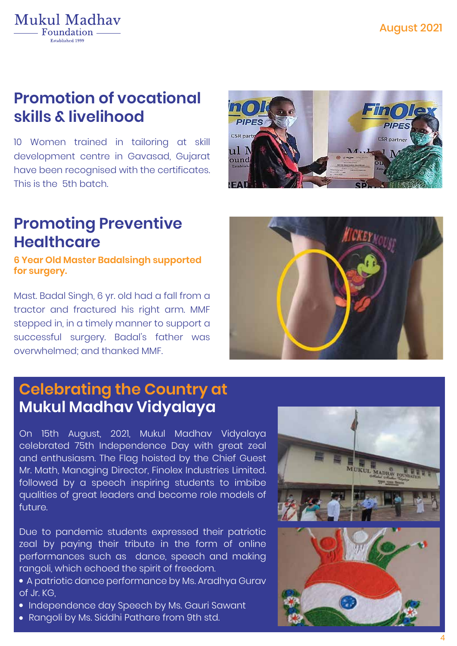## **Promotion of vocational skills & livelihood**

**Mukul Madhav** Foundation -Established 1996

10 Women trained in tailoring at skill development centre in Gavasad, Gujarat have been recognised with the certificates. This is the 5th batch.

## **Promoting Preventive Healthcare**

**6 Year Old Master Badalsingh supported for surgery.**

Mast. Badal Singh, 6 yr. old had a fall from a tractor and fractured his right arm. MMF stepped in, in a timely manner to support a successful surgery. Badal's father was overwhelmed; and thanked MMF.

## **Mukul Madhav Vidyalaya Celebrating the Country at**

On 15th August, 2021, Mukul Madhav Vidyalaya celebrated 75th Independence Day with great zeal and enthusiasm. The Flag hoisted by the Chief Guest Mr. Math, Managing Director, Finolex Industries Limited. followed by a speech inspiring students to imbibe qualities of great leaders and become role models of future.

Due to pandemic students expressed their patriotic zeal by paying their tribute in the form of online performances such as dance, speech and making rangoli, which echoed the spirit of freedom.

 A patriotic dance performance by Ms. Aradhya Gurav of Jr. KG,

- Independence day Speech by Ms. Gauri Sawant
- Rangoli by Ms. Siddhi Pathare from 9th std.